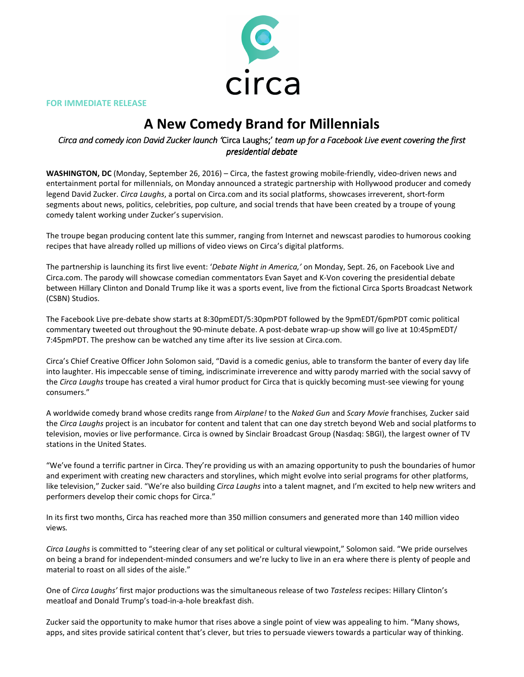

FOR IMMEDIATE RELEASE

## A New Comedy Brand for Millennials

## Circa and comedy icon David Zucker launch 'Circa Laughs;' team up for a Facebook Live event covering the first presidential debate

WASHINGTON, DC (Monday, September 26, 2016) – Circa, the fastest growing mobile-friendly, video-driven news and entertainment portal for millennials, on Monday announced a strategic partnership with Hollywood producer and comedy legend David Zucker. Circa Laughs, a portal on Circa.com and its social platforms, showcases irreverent, short-form segments about news, politics, celebrities, pop culture, and social trends that have been created by a troupe of young comedy talent working under Zucker's supervision.

The troupe began producing content late this summer, ranging from Internet and newscast parodies to humorous cooking recipes that have already rolled up millions of video views on Circa's digital platforms.

The partnership is launching its first live event: 'Debate Night in America,' on Monday, Sept. 26, on Facebook Live and Circa.com. The parody will showcase comedian commentators Evan Sayet and K‐Von covering the presidential debate between Hillary Clinton and Donald Trump like it was a sports event, live from the fictional Circa Sports Broadcast Network (CSBN) Studios.

The Facebook Live pre‐debate show starts at 8:30pmEDT/5:30pmPDT followed by the 9pmEDT/6pmPDT comic political commentary tweeted out throughout the 90‐minute debate. A post‐debate wrap‐up show will go live at 10:45pmEDT/ 7:45pmPDT. The preshow can be watched any time after its live session at Circa.com.

Circa's Chief Creative Officer John Solomon said, "David is a comedic genius, able to transform the banter of every day life into laughter. His impeccable sense of timing, indiscriminate irreverence and witty parody married with the social savvy of the Circa Laughs troupe has created a viral humor product for Circa that is quickly becoming must-see viewing for young consumers."

A worldwide comedy brand whose credits range from Airplane! to the Naked Gun and Scary Movie franchises, Zucker said the Circa Laughs project is an incubator for content and talent that can one day stretch beyond Web and social platforms to television, movies or live performance. Circa is owned by Sinclair Broadcast Group (Nasdaq: SBGI), the largest owner of TV stations in the United States.

"We've found a terrific partner in Circa. They're providing us with an amazing opportunity to push the boundaries of humor and experiment with creating new characters and storylines, which might evolve into serial programs for other platforms, like television," Zucker said. "We're also building Circa Laughs into a talent magnet, and I'm excited to help new writers and performers develop their comic chops for Circa."

In its first two months, Circa has reached more than 350 million consumers and generated more than 140 million video views.

Circa Laughs is committed to "steering clear of any set political or cultural viewpoint," Solomon said. "We pride ourselves on being a brand for independent‐minded consumers and we're lucky to live in an era where there is plenty of people and material to roast on all sides of the aisle."

One of Circa Laughs' first major productions was the simultaneous release of two Tasteless recipes: Hillary Clinton's meatloaf and Donald Trump's toad‐in‐a‐hole breakfast dish.

Zucker said the opportunity to make humor that rises above a single point of view was appealing to him. "Many shows, apps, and sites provide satirical content that's clever, but tries to persuade viewers towards a particular way of thinking.